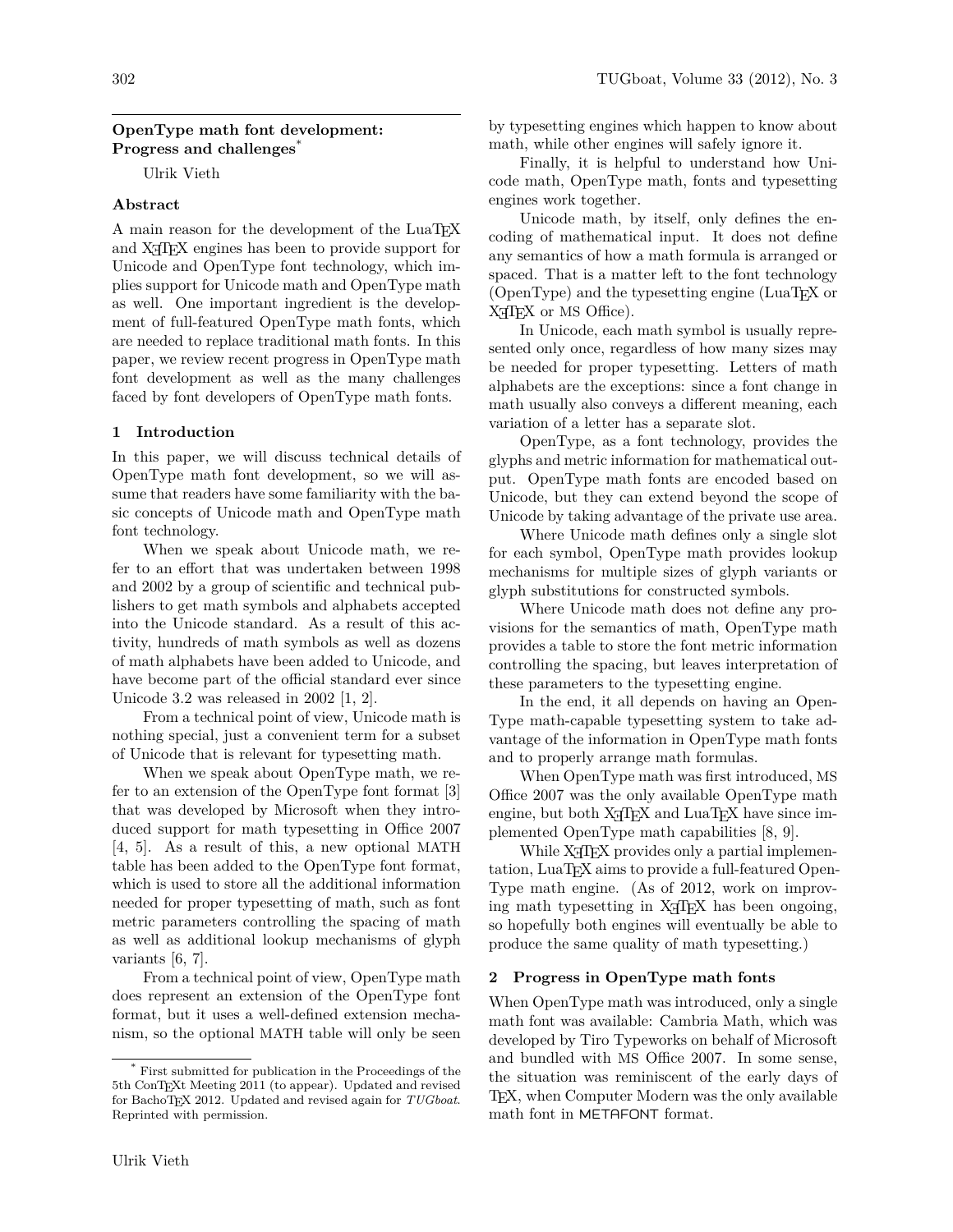## **OpenType math font development: Progress and challenges**\*

Ulrik Vieth

## **Abstract**

A main reason for the development of the LuaT<sub>EX</sub> and X<sub>T</sub>T<sub>E</sub>X engines has been to provide support for Unicode and OpenType font technology, which implies support for Unicode math and OpenType math as well. One important ingredient is the development of full-featured OpenType math fonts, which are needed to replace traditional math fonts. In this paper, we review recent progress in OpenType math font development as well as the many challenges faced by font developers of OpenType math fonts.

#### **1 Introduction**

In this paper, we will discuss technical details of OpenType math font development, so we will assume that readers have some familiarity with the basic concepts of Unicode math and OpenType math font technology.

When we speak about Unicode math, we refer to an effort that was undertaken between 1998 and 2002 by a group of scientific and technical publishers to get math symbols and alphabets accepted into the Unicode standard. As a result of this activity, hundreds of math symbols as well as dozens of math alphabets have been added to Unicode, and have become part of the official standard ever since Unicode 3.2 was released in 2002 [\[1,](#page-5-0) [2\]](#page-5-1).

From a technical point of view, Unicode math is nothing special, just a convenient term for a subset of Unicode that is relevant for typesetting math.

When we speak about OpenType math, we refer to an extension of the OpenType font format [\[3\]](#page-5-2) that was developed by Microsoft when they introduced support for math typesetting in Office 2007 [\[4,](#page-5-3) [5\]](#page-5-4). As a result of this, a new optional MATH table has been added to the OpenType font format, which is used to store all the additional information needed for proper typesetting of math, such as font metric parameters controlling the spacing of math as well as additional lookup mechanisms of glyph variants [\[6,](#page-5-5) [7\]](#page-5-6).

From a technical point of view, OpenType math does represent an extension of the OpenType font format, but it uses a well-defined extension mechanism, so the optional MATH table will only be seen by typesetting engines which happen to know about math, while other engines will safely ignore it.

Finally, it is helpful to understand how Unicode math, OpenType math, fonts and typesetting engines work together.

Unicode math, by itself, only defines the encoding of mathematical input. It does not define any semantics of how a math formula is arranged or spaced. That is a matter left to the font technology (OpenType) and the typesetting engine (LuaTEX or X<sub>H</sub>T<sub>F</sub>X or MS Office).

In Unicode, each math symbol is usually represented only once, regardless of how many sizes may be needed for proper typesetting. Letters of math alphabets are the exceptions: since a font change in math usually also conveys a different meaning, each variation of a letter has a separate slot.

OpenType, as a font technology, provides the glyphs and metric information for mathematical output. OpenType math fonts are encoded based on Unicode, but they can extend beyond the scope of Unicode by taking advantage of the private use area.

Where Unicode math defines only a single slot for each symbol, OpenType math provides lookup mechanisms for multiple sizes of glyph variants or glyph substitutions for constructed symbols.

Where Unicode math does not define any provisions for the semantics of math, OpenType math provides a table to store the font metric information controlling the spacing, but leaves interpretation of these parameters to the typesetting engine.

In the end, it all depends on having an Open-Type math-capable typesetting system to take advantage of the information in OpenType math fonts and to properly arrange math formulas.

When OpenType math was first introduced, MS Office 2007 was the only available OpenType math engine, but both  $X_{\text{I}}$  TEX and LuaTEX have since implemented OpenType math capabilities [\[8,](#page-5-7) [9\]](#page-5-8).

While X<sub>H</sub>T<sub>E</sub>X provides only a partial implementation, LuaTEX aims to provide a full-featured Open-Type math engine. (As of 2012, work on improving math typesetting in  $X \oplus Y$  has been ongoing, so hopefully both engines will eventually be able to produce the same quality of math typesetting.)

#### **2 Progress in OpenType math fonts**

When OpenType math was introduced, only a single math font was available: Cambria Math, which was developed by Tiro Typeworks on behalf of Microsoft and bundled with MS Office 2007. In some sense, the situation was reminiscent of the early days of TEX, when Computer Modern was the only available math font in METAFONT format.

<sup>\*</sup> First submitted for publication in the Proceedings of the 5th ConTEXt Meeting 2011 (to appear). Updated and revised for BachoTEX 2012. Updated and revised again for *TUGboat*. Reprinted with permission.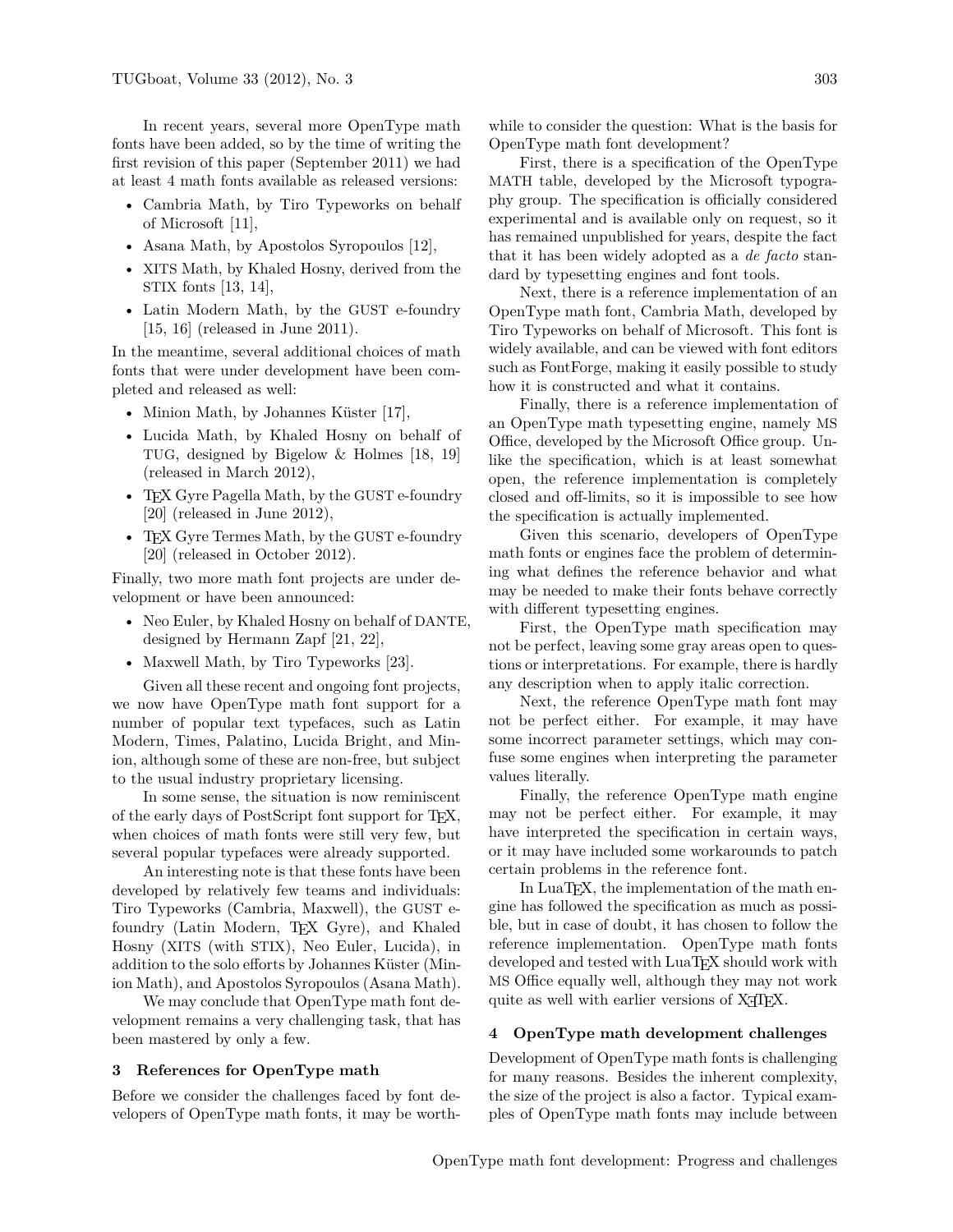In recent years, several more OpenType math fonts have been added, so by the time of writing the first revision of this paper (September 2011) we had at least 4 math fonts available as released versions:

- Cambria Math, by Tiro Typeworks on behalf of Microsoft [\[11\]](#page-5-9),
- Asana Math, by Apostolos Syropoulos [\[12\]](#page-5-10),
- XITS Math, by Khaled Hosny, derived from the STIX fonts [\[13,](#page-5-11) [14\]](#page-5-12),
- Latin Modern Math, by the GUST e-foundry [\[15,](#page-5-13) [16\]](#page-5-14) (released in June 2011).

In the meantime, several additional choices of math fonts that were under development have been completed and released as well:

- Minion Math, by Johannes Küster [\[17\]](#page-5-15),
- Lucida Math, by Khaled Hosny on behalf of TUG, designed by Bigelow & Holmes [\[18,](#page-5-16) [19\]](#page-5-17) (released in March 2012),
- TEX Gyre Pagella Math, by the GUST e-foundry [\[20\]](#page-6-0) (released in June 2012),
- TEX Gyre Termes Math, by the GUST e-foundry [\[20\]](#page-6-0) (released in October 2012).

Finally, two more math font projects are under development or have been announced:

- Neo Euler, by Khaled Hosny on behalf of DANTE, designed by Hermann Zapf [\[21,](#page-6-1) [22\]](#page-6-2),
- Maxwell Math, by Tiro Typeworks [\[23\]](#page-6-3).

Given all these recent and ongoing font projects, we now have OpenType math font support for a number of popular text typefaces, such as Latin Modern, Times, Palatino, Lucida Bright, and Minion, although some of these are non-free, but subject to the usual industry proprietary licensing.

In some sense, the situation is now reminiscent of the early days of PostScript font support for TEX, when choices of math fonts were still very few, but several popular typefaces were already supported.

An interesting note is that these fonts have been developed by relatively few teams and individuals: Tiro Typeworks (Cambria, Maxwell), the GUST efoundry (Latin Modern, TEX Gyre), and Khaled Hosny (XITS (with STIX), Neo Euler, Lucida), in addition to the solo efforts by Johannes Küster (Minion Math), and Apostolos Syropoulos (Asana Math).

We may conclude that OpenType math font development remains a very challenging task, that has been mastered by only a few.

#### **3 References for OpenType math**

Before we consider the challenges faced by font developers of OpenType math fonts, it may be worthwhile to consider the question: What is the basis for OpenType math font development?

First, there is a specification of the OpenType MATH table, developed by the Microsoft typography group. The specification is officially considered experimental and is available only on request, so it has remained unpublished for years, despite the fact that it has been widely adopted as a *de facto* standard by typesetting engines and font tools.

Next, there is a reference implementation of an OpenType math font, Cambria Math, developed by Tiro Typeworks on behalf of Microsoft. This font is widely available, and can be viewed with font editors such as FontForge, making it easily possible to study how it is constructed and what it contains.

Finally, there is a reference implementation of an OpenType math typesetting engine, namely MS Office, developed by the Microsoft Office group. Unlike the specification, which is at least somewhat open, the reference implementation is completely closed and off-limits, so it is impossible to see how the specification is actually implemented.

Given this scenario, developers of OpenType math fonts or engines face the problem of determining what defines the reference behavior and what may be needed to make their fonts behave correctly with different typesetting engines.

First, the OpenType math specification may not be perfect, leaving some gray areas open to questions or interpretations. For example, there is hardly any description when to apply italic correction.

Next, the reference OpenType math font may not be perfect either. For example, it may have some incorrect parameter settings, which may confuse some engines when interpreting the parameter values literally.

Finally, the reference OpenType math engine may not be perfect either. For example, it may have interpreted the specification in certain ways, or it may have included some workarounds to patch certain problems in the reference font.

In LuaTEX, the implementation of the math engine has followed the specification as much as possible, but in case of doubt, it has chosen to follow the reference implementation. OpenType math fonts developed and tested with LuaT<sub>EX</sub> should work with MS Office equally well, although they may not work quite as well with earlier versions of X<sub>T</sub>T<sub>F</sub>X.

## **4 OpenType math development challenges**

Development of OpenType math fonts is challenging for many reasons. Besides the inherent complexity, the size of the project is also a factor. Typical examples of OpenType math fonts may include between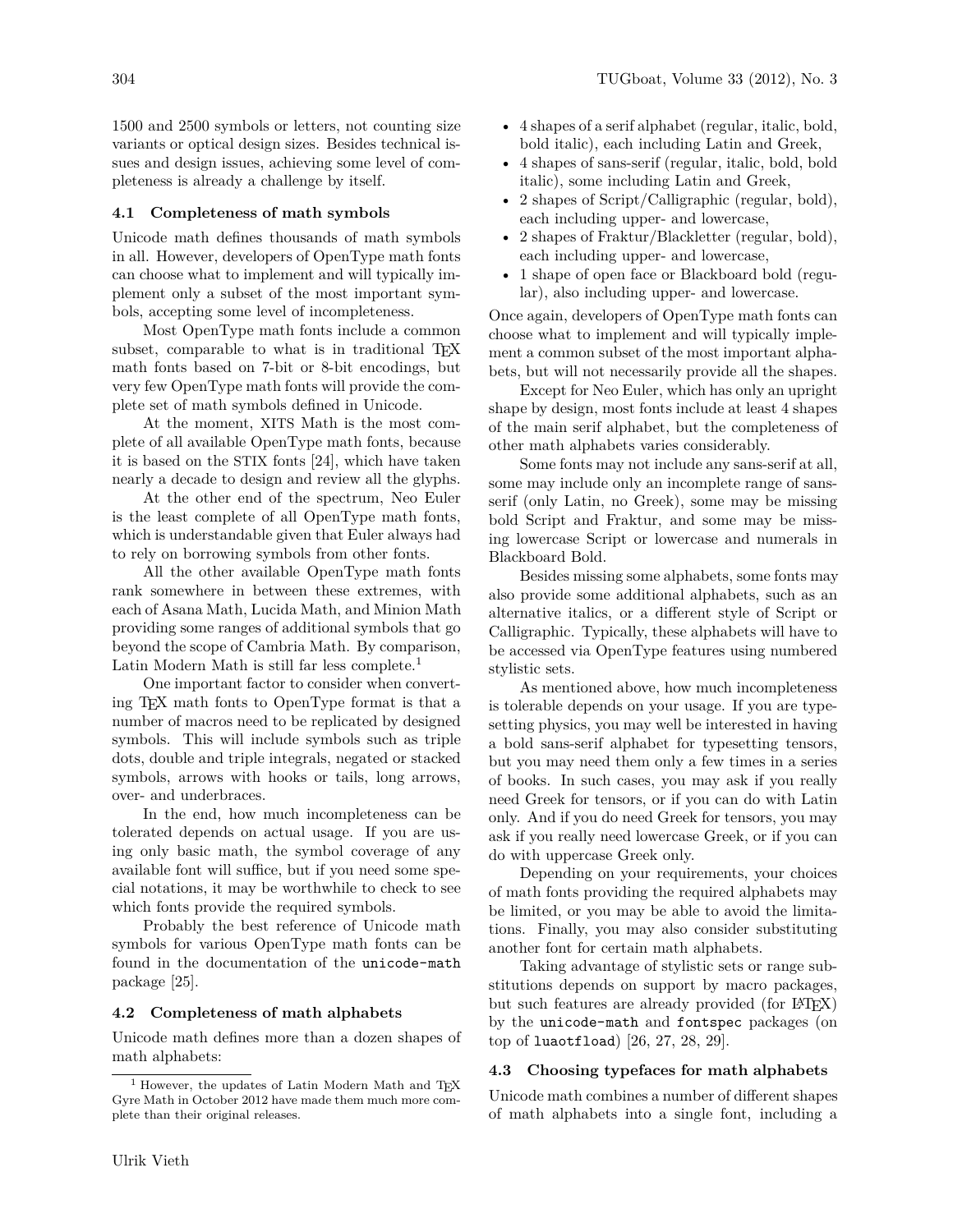1500 and 2500 symbols or letters, not counting size variants or optical design sizes. Besides technical issues and design issues, achieving some level of completeness is already a challenge by itself.

#### **4.1 Completeness of math symbols**

Unicode math defines thousands of math symbols in all. However, developers of OpenType math fonts can choose what to implement and will typically implement only a subset of the most important symbols, accepting some level of incompleteness.

Most OpenType math fonts include a common subset, comparable to what is in traditional TFX math fonts based on 7-bit or 8-bit encodings, but very few OpenType math fonts will provide the complete set of math symbols defined in Unicode.

At the moment, XITS Math is the most complete of all available OpenType math fonts, because it is based on the STIX fonts [\[24\]](#page-6-4), which have taken nearly a decade to design and review all the glyphs.

At the other end of the spectrum, Neo Euler is the least complete of all OpenType math fonts, which is understandable given that Euler always had to rely on borrowing symbols from other fonts.

All the other available OpenType math fonts rank somewhere in between these extremes, with each of Asana Math, Lucida Math, and Minion Math providing some ranges of additional symbols that go beyond the scope of Cambria Math. By comparison, Latin Modern Math is still far less complete.<sup>[1](#page-2-0)</sup>

One important factor to consider when converting TEX math fonts to OpenType format is that a number of macros need to be replicated by designed symbols. This will include symbols such as triple dots, double and triple integrals, negated or stacked symbols, arrows with hooks or tails, long arrows, over- and underbraces.

In the end, how much incompleteness can be tolerated depends on actual usage. If you are using only basic math, the symbol coverage of any available font will suffice, but if you need some special notations, it may be worthwhile to check to see which fonts provide the required symbols.

Probably the best reference of Unicode math symbols for various OpenType math fonts can be found in the documentation of the unicode-math package [\[25\]](#page-6-5).

#### **4.2 Completeness of math alphabets**

Unicode math defines more than a dozen shapes of math alphabets:

- 4 shapes of sans-serif (regular, italic, bold, bold italic), some including Latin and Greek,
- 2 shapes of Script/Calligraphic (regular, bold), each including upper- and lowercase,
- 2 shapes of Fraktur/Blackletter (regular, bold), each including upper- and lowercase,
- 1 shape of open face or Blackboard bold (regular), also including upper- and lowercase.

Once again, developers of OpenType math fonts can choose what to implement and will typically implement a common subset of the most important alphabets, but will not necessarily provide all the shapes.

Except for Neo Euler, which has only an upright shape by design, most fonts include at least 4 shapes of the main serif alphabet, but the completeness of other math alphabets varies considerably.

Some fonts may not include any sans-serif at all, some may include only an incomplete range of sansserif (only Latin, no Greek), some may be missing bold Script and Fraktur, and some may be missing lowercase Script or lowercase and numerals in Blackboard Bold.

Besides missing some alphabets, some fonts may also provide some additional alphabets, such as an alternative italics, or a different style of Script or Calligraphic. Typically, these alphabets will have to be accessed via OpenType features using numbered stylistic sets.

As mentioned above, how much incompleteness is tolerable depends on your usage. If you are typesetting physics, you may well be interested in having a bold sans-serif alphabet for typesetting tensors, but you may need them only a few times in a series of books. In such cases, you may ask if you really need Greek for tensors, or if you can do with Latin only. And if you do need Greek for tensors, you may ask if you really need lowercase Greek, or if you can do with uppercase Greek only.

Depending on your requirements, your choices of math fonts providing the required alphabets may be limited, or you may be able to avoid the limitations. Finally, you may also consider substituting another font for certain math alphabets.

Taking advantage of stylistic sets or range substitutions depends on support by macro packages, but such features are already provided (for LAT<sub>EX</sub>) by the unicode-math and fontspec packages (on top of luaotfload)  $[26, 27, 28, 29]$  $[26, 27, 28, 29]$  $[26, 27, 28, 29]$  $[26, 27, 28, 29]$  $[26, 27, 28, 29]$  $[26, 27, 28, 29]$ .

## **4.3 Choosing typefaces for math alphabets**

Unicode math combines a number of different shapes of math alphabets into a single font, including a

<span id="page-2-0"></span> $1$  However, the updates of Latin Modern Math and TFX Gyre Math in October 2012 have made them much more complete than their original releases.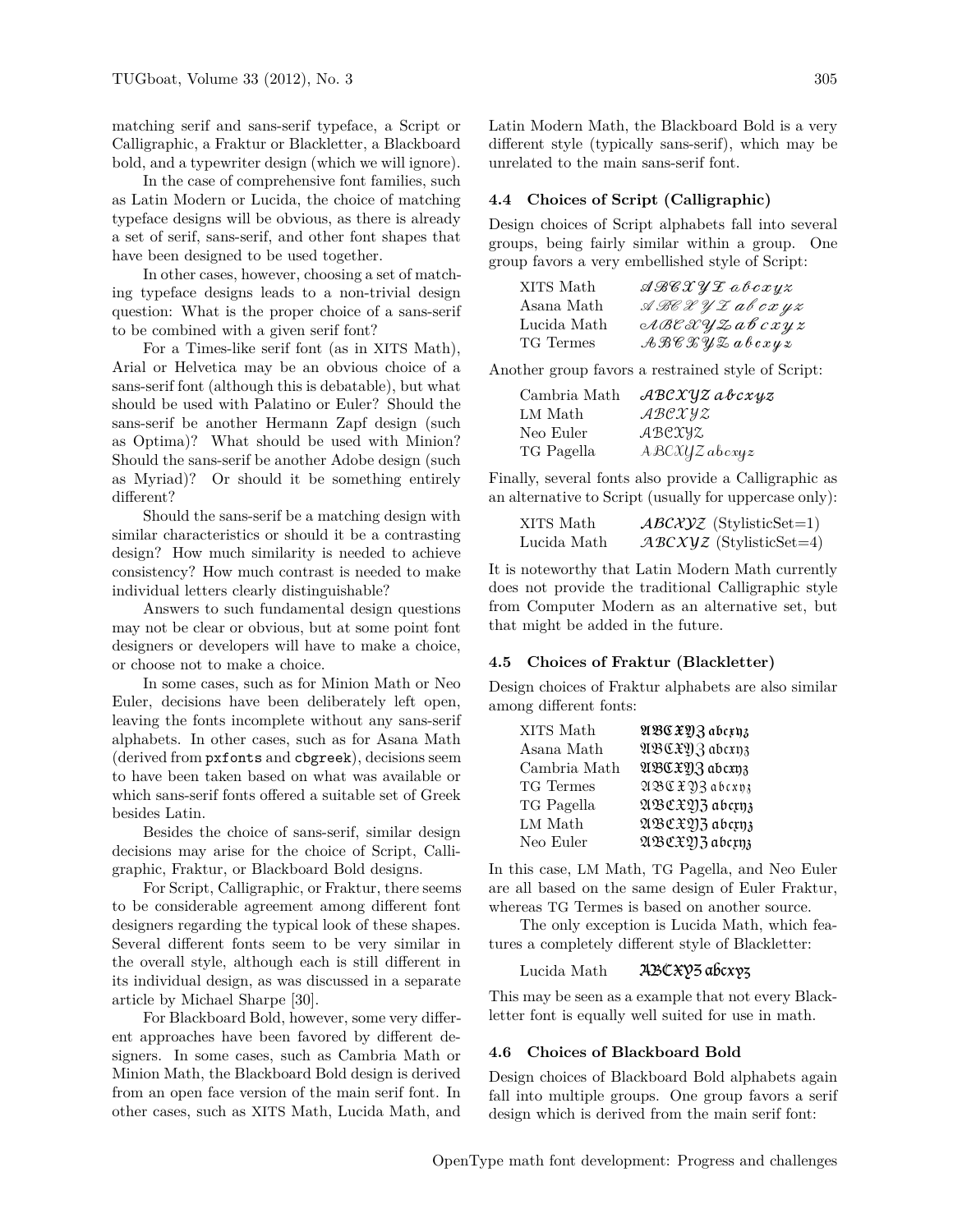matching serif and sans-serif typeface, a Script or Calligraphic, a Fraktur or Blackletter, a Blackboard bold, and a typewriter design (which we will ignore).

In the case of comprehensive font families, such as Latin Modern or Lucida, the choice of matching typeface designs will be obvious, as there is already a set of serif, sans-serif, and other font shapes that have been designed to be used together.

In other cases, however, choosing a set of matching typeface designs leads to a non-trivial design question: What is the proper choice of a sans-serif to be combined with a given serif font?

For a Times-like serif font (as in XITS Math), Arial or Helvetica may be an obvious choice of a sans-serif font (although this is debatable), but what should be used with Palatino or Euler? Should the sans-serif be another Hermann Zapf design (such as Optima)? What should be used with Minion? Should the sans-serif be another Adobe design (such as Myriad)? Or should it be something entirely different?

Should the sans-serif be a matching design with similar characteristics or should it be a contrasting design? How much similarity is needed to achieve consistency? How much contrast is needed to make individual letters clearly distinguishable?

Answers to such fundamental design questions may not be clear or obvious, but at some point font designers or developers will have to make a choice, or choose not to make a choice.

In some cases, such as for Minion Math or Neo Euler, decisions have been deliberately left open, leaving the fonts incomplete without any sans-serif alphabets. In other cases, such as for Asana Math (derived from pxfonts and cbgreek), decisions seem to have been taken based on what was available or which sans-serif fonts offered a suitable set of Greek besides Latin.

Besides the choice of sans-serif, similar design decisions may arise for the choice of Script, Calligraphic, Fraktur, or Blackboard Bold designs.

For Script, Calligraphic, or Fraktur, there seems to be considerable agreement among different font designers regarding the typical look of these shapes. Several different fonts seem to be very similar in the overall style, although each is still different in its individual design, as was discussed in a separate article by Michael Sharpe [\[30\]](#page-6-10).

For Blackboard Bold, however, some very different approaches have been favored by different designers. In some cases, such as Cambria Math or Minion Math, the Blackboard Bold design is derived from an open face version of the main serif font. In other cases, such as XITS Math, Lucida Math, and Latin Modern Math, the Blackboard Bold is a very different style (typically sans-serif), which may be unrelated to the main sans-serif font.

#### **4.4 Choices of Script (Calligraphic)**

Design choices of Script alphabets fall into several groups, being fairly similar within a group. One group favors a very embellished style of Script:

| XITS Math   | $\mathcal{A}\mathcal{B}\mathcal{C}\mathcal{X}\mathcal{Y}\mathcal{I}$ abcxyz            |
|-------------|----------------------------------------------------------------------------------------|
| Asana Math  | $\mathcal{A}\mathcal{B}\mathcal{C}\mathcal{X}\mathcal{Y}\mathcal{I}$ ab $cx$ y $z$     |
| Lucida Math | ABCXYZabcxyz                                                                           |
| TG Termes   | $\mathcal{A}\mathcal{B}\mathcal{C}\mathcal{X}\mathcal{Y}\mathcal{Z}$ a b $c$ x $y$ $z$ |

Another group favors a restrained style of Script:

| Cambria Math | ${\mathcal{A}}{\mathcal{B}}{\mathcal{C}}{\mathcal{X}}{\mathcal{Y}}{\mathcal{Z}}$ ab $c{\mathcal{X}}{\mathcal{Y}}{\mathcal{Z}}$ |
|--------------|--------------------------------------------------------------------------------------------------------------------------------|
| LM Math      | ABCXYZ                                                                                                                         |
| Neo Euler    | ABCXYZ                                                                                                                         |
| TG Pagella   | $A\mathcal{B}\mathcal{C}\mathcal{X}\mathcal{Y}Z$ abcxyz                                                                        |

Finally, several fonts also provide a Calligraphic as an alternative to Script (usually for uppercase only):

| XITS Math   | $\mathcal{AB}\mathcal{C}\mathcal{X}\mathcal{Y}\mathcal{Z}$ (StylisticSet=1) |
|-------------|-----------------------------------------------------------------------------|
| Lucida Math | $ABCXYZ$ (StylisticSet=4)                                                   |

It is noteworthy that Latin Modern Math currently does not provide the traditional Calligraphic style from Computer Modern as an alternative set, but that might be added in the future.

# **4.5 Choices of Fraktur (Blackletter)**

Design choices of Fraktur alphabets are also similar among different fonts:

| XITS Math    | ABCXOZ abcxyz |
|--------------|---------------|
| Asana Math   | ABCXOZ abcxn3 |
| Cambria Math | ABCXOZ abcxn3 |
| TG Termes    | ABCXYZ abcxp3 |
| TG Pagella   | ABCXQ3 abcxn3 |
| LM Math      | ABCXQ3 abcrnz |
| Neo Euler    | ABCXQ3 abcynz |

In this case, LM Math, TG Pagella, and Neo Euler are all based on the same design of Euler Fraktur, whereas TG Termes is based on another source.

The only exception is Lucida Math, which features a completely different style of Blackletter:

#### Lucida Math ABCXY5 abcxy3

This may be seen as a example that not every Blackletter font is equally well suited for use in math.

## **4.6 Choices of Blackboard Bold**

Design choices of Blackboard Bold alphabets again fall into multiple groups. One group favors a serif design which is derived from the main serif font: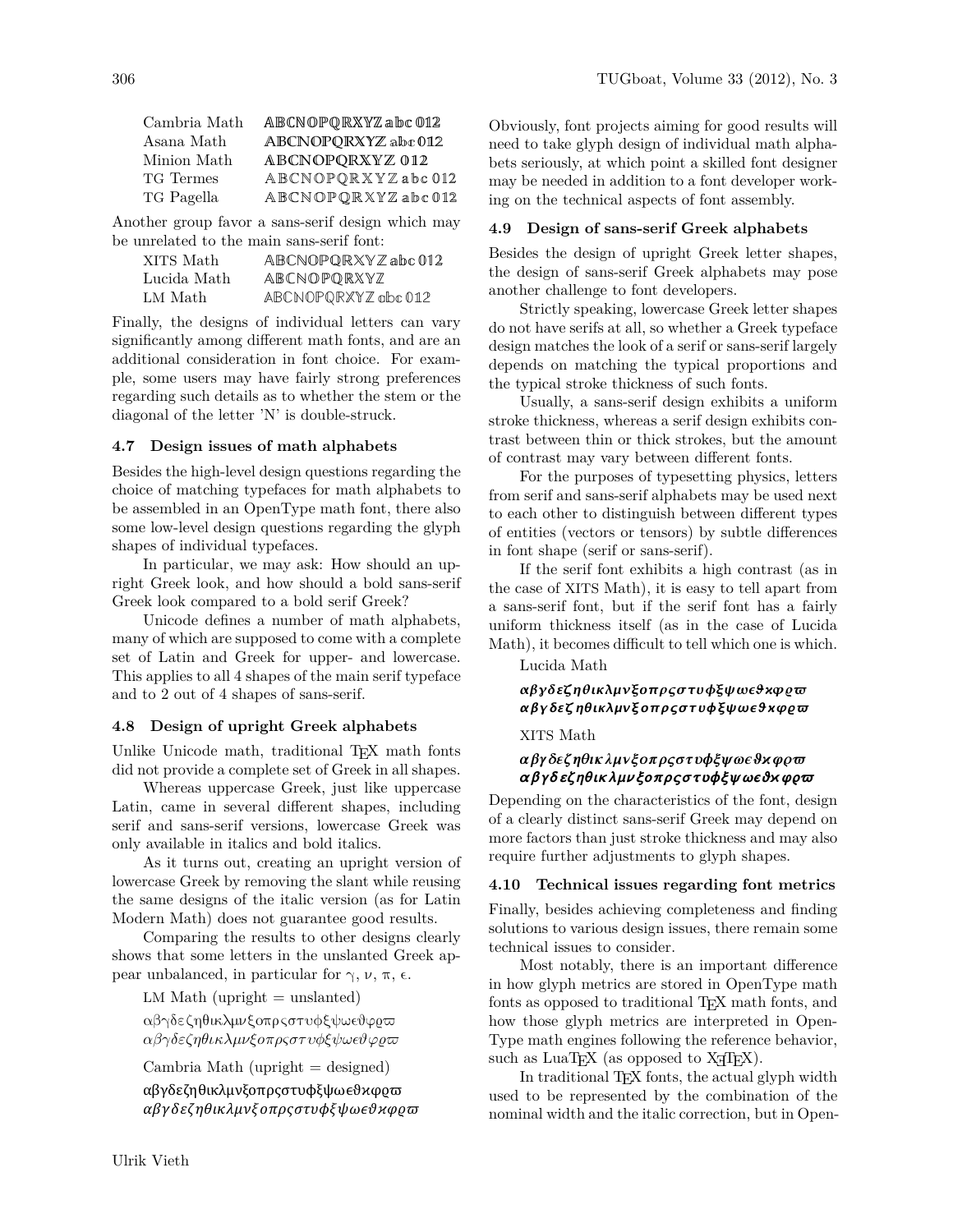| ABCNOPQRXYZabc012   |
|---------------------|
| ABCNOPQRXYZ abc 012 |
| ABCNOPQRXYZ 012     |
| ABCNOPQRXYZabc012   |
| ABCNOPQRXYZabc012   |
|                     |

Another group favor a sans-serif design which may be unrelated to the main sans-serif font:

| XITS Math   | ABCNOPORXYZabc012   |
|-------------|---------------------|
| Lucida Math | ABCNOPORXYZ         |
| LM Math     | ABCNOPQRXYZ abc 012 |

Finally, the designs of individual letters can vary significantly among different math fonts, and are an additional consideration in font choice. For example, some users may have fairly strong preferences regarding such details as to whether the stem or the diagonal of the letter 'N' is double-struck.

# **4.7 Design issues of math alphabets**

Besides the high-level design questions regarding the choice of matching typefaces for math alphabets to be assembled in an OpenType math font, there also some low-level design questions regarding the glyph shapes of individual typefaces.

In particular, we may ask: How should an upright Greek look, and how should a bold sans-serif Greek look compared to a bold serif Greek?

Unicode defines a number of math alphabets, many of which are supposed to come with a complete set of Latin and Greek for upper- and lowercase. This applies to all 4 shapes of the main serif typeface and to 2 out of 4 shapes of sans-serif.

## **4.8 Design of upright Greek alphabets**

Unlike Unicode math, traditional T<sub>EX</sub> math fonts did not provide a complete set of Greek in all shapes.

Whereas uppercase Greek, just like uppercase Latin, came in several different shapes, including serif and sans-serif versions, lowercase Greek was only available in italics and bold italics.

As it turns out, creating an upright version of lowercase Greek by removing the slant while reusing the same designs of the italic version (as for Latin Modern Math) does not guarantee good results.

Comparing the results to other designs clearly shows that some letters in the unslanted Greek appear unbalanced, in particular for  $\gamma$ ,  $\nu$ , π, ε.

 $LM Math (upright = unslanted)$ 

αβγδεζηθικλμνξοπρςστυφξψωεθφρω αβγδεζηθικλμνξοπρςστυφξψωεθφρω

 $Cambria Math (upright = designed)$ 

```
αβγδεζηθικλμνξοπρςστυφξψωεθκφρω
αβγδεζηθικλμνξοπρςστυφξψωεθκφρω
```
Obviously, font projects aiming for good results will need to take glyph design of individual math alphabets seriously, at which point a skilled font designer may be needed in addition to a font developer working on the technical aspects of font assembly.

## **4.9 Design of sans-serif Greek alphabets**

Besides the design of upright Greek letter shapes, the design of sans-serif Greek alphabets may pose another challenge to font developers.

Strictly speaking, lowercase Greek letter shapes do not have serifs at all, so whether a Greek typeface design matches the look of a serif or sans-serif largely depends on matching the typical proportions and the typical stroke thickness of such fonts.

Usually, a sans-serif design exhibits a uniform stroke thickness, whereas a serif design exhibits contrast between thin or thick strokes, but the amount of contrast may vary between different fonts.

For the purposes of typesetting physics, letters from serif and sans-serif alphabets may be used next to each other to distinguish between different types of entities (vectors or tensors) by subtle differences in font shape (serif or sans-serif).

If the serif font exhibits a high contrast (as in the case of XITS Math), it is easy to tell apart from a sans-serif font, but if the serif font has a fairly uniform thickness itself (as in the case of Lucida Math), it becomes difficult to tell which one is which.

## Lucida Math

# αβγδεζηθικλμνξοπρςστυφξψωεθχφρω αβγδεζηθικλμνξοπρςστυφξψωεθχφρω

# XITS Math

# αβγδεζηθικλμνξοπρςστυφξψωεθκφρω αβγδεζηθικλμνξοπρςστυφξψωεθχφρω

Depending on the characteristics of the font, design of a clearly distinct sans-serif Greek may depend on more factors than just stroke thickness and may also require further adjustments to glyph shapes.

## **4.10 Technical issues regarding font metrics**

Finally, besides achieving completeness and finding solutions to various design issues, there remain some technical issues to consider.

Most notably, there is an important difference in how glyph metrics are stored in OpenType math fonts as opposed to traditional T<sub>EX</sub> math fonts, and how those glyph metrics are interpreted in Open-Type math engines following the reference behavior, such as  $\text{LuaTrX}$  (as opposed to  $\text{XFX}$ ).

In traditional TEX fonts, the actual glyph width used to be represented by the combination of the nominal width and the italic correction, but in Open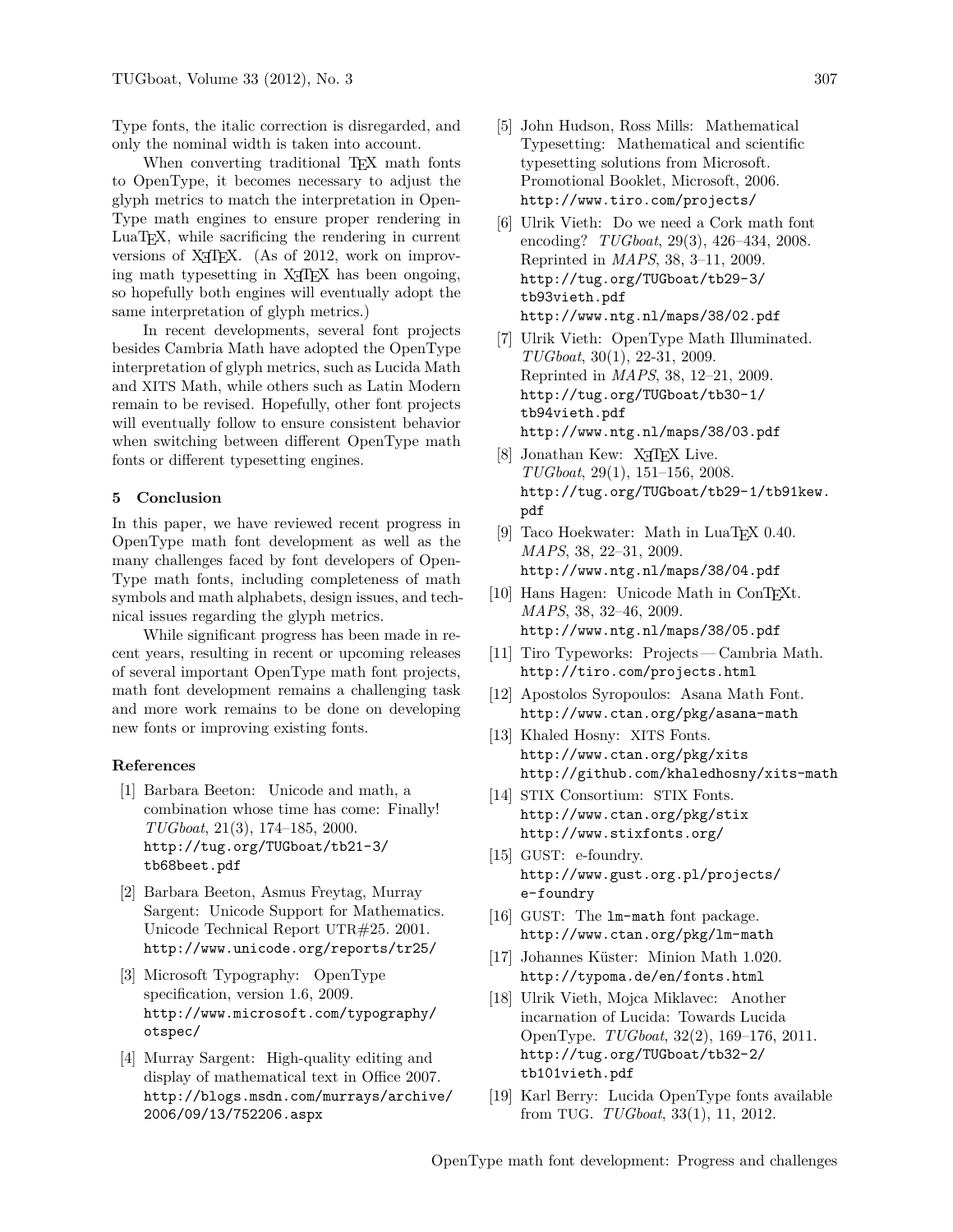Type fonts, the italic correction is disregarded, and only the nominal width is taken into account.

When converting traditional TEX math fonts to OpenType, it becomes necessary to adjust the glyph metrics to match the interpretation in Open-Type math engines to ensure proper rendering in LuaTEX, while sacrificing the rendering in current versions of X<sub>H</sub>T<sub>E</sub>X. (As of 2012, work on improving math typesetting in X<sub>T</sub>T<sub>F</sub>X has been ongoing, so hopefully both engines will eventually adopt the same interpretation of glyph metrics.)

In recent developments, several font projects besides Cambria Math have adopted the OpenType interpretation of glyph metrics, such as Lucida Math and XITS Math, while others such as Latin Modern remain to be revised. Hopefully, other font projects will eventually follow to ensure consistent behavior when switching between different OpenType math fonts or different typesetting engines.

#### **5 Conclusion**

In this paper, we have reviewed recent progress in OpenType math font development as well as the many challenges faced by font developers of Open-Type math fonts, including completeness of math symbols and math alphabets, design issues, and technical issues regarding the glyph metrics.

While significant progress has been made in recent years, resulting in recent or upcoming releases of several important OpenType math font projects, math font development remains a challenging task and more work remains to be done on developing new fonts or improving existing fonts.

#### **References**

- <span id="page-5-0"></span>[1] Barbara Beeton: Unicode and math, a combination whose time has come: Finally! *TUGboat*, 21(3), 174–185, 2000. [http://tug.org/TUGboat/tb21-3/](http://tug.org/TUGboat/tb21-3/tb68beet.pdf) [tb68beet.pdf](http://tug.org/TUGboat/tb21-3/tb68beet.pdf)
- <span id="page-5-1"></span>[2] Barbara Beeton, Asmus Freytag, Murray Sargent: Unicode Support for Mathematics. Unicode Technical Report UTR#25. 2001. <http://www.unicode.org/reports/tr25/>
- <span id="page-5-2"></span>[3] Microsoft Typography: OpenType specification, version 1.6, 2009. [http://www.microsoft.com/typography/](http://www.microsoft.com/typography/otspec/) [otspec/](http://www.microsoft.com/typography/otspec/)
- <span id="page-5-3"></span>[4] Murray Sargent: High-quality editing and display of mathematical text in Office 2007. [http://blogs.msdn.com/murrays/archive/](http://blogs.msdn.com/murrays/archive/2006/09/13/752206.aspx) [2006/09/13/752206.aspx](http://blogs.msdn.com/murrays/archive/2006/09/13/752206.aspx)
- <span id="page-5-4"></span>[5] John Hudson, Ross Mills: Mathematical Typesetting: Mathematical and scientific typesetting solutions from Microsoft. Promotional Booklet, Microsoft, 2006. <http://www.tiro.com/projects/>
- <span id="page-5-5"></span>[6] Ulrik Vieth: Do we need a Cork math font encoding? *TUGboat*, 29(3), 426–434, 2008. Reprinted in *MAPS*, 38, 3–11, 2009. [http://tug.org/TUGboat/tb29-3/](http://tug.org/TUGboat/tb29-3/tb93vieth.pdf) [tb93vieth.pdf](http://tug.org/TUGboat/tb29-3/tb93vieth.pdf) <http://www.ntg.nl/maps/38/02.pdf>
- <span id="page-5-6"></span>[7] Ulrik Vieth: OpenType Math Illuminated. *TUGboat*, 30(1), 22-31, 2009. Reprinted in *MAPS*, 38, 12–21, 2009. [http://tug.org/TUGboat/tb30-1/](http://tug.org/TUGboat/tb30-1/tb94vieth.pdf) [tb94vieth.pdf](http://tug.org/TUGboat/tb30-1/tb94vieth.pdf) <http://www.ntg.nl/maps/38/03.pdf>
- <span id="page-5-7"></span>[8] Jonathan Kew: X<sub>H</sub>T<sub>E</sub>X Live. *TUGboat*, 29(1), 151–156, 2008. [http://tug.org/TUGboat/tb29-1/tb91kew.](http://tug.org/TUGboat/tb29-1/tb91kew.pdf) [pdf](http://tug.org/TUGboat/tb29-1/tb91kew.pdf)
- <span id="page-5-8"></span>[9] Taco Hoekwater: Math in LuaT<sub>EX</sub> 0.40. *MAPS*, 38, 22–31, 2009. <http://www.ntg.nl/maps/38/04.pdf>
- [10] Hans Hagen: Unicode Math in ConT<sub>F</sub>Xt. *MAPS*, 38, 32–46, 2009. <http://www.ntg.nl/maps/38/05.pdf>
- <span id="page-5-9"></span>[11] Tiro Typeworks: Projects— Cambria Math. <http://tiro.com/projects.html>
- <span id="page-5-10"></span>[12] Apostolos Syropoulos: Asana Math Font. <http://www.ctan.org/pkg/asana-math>
- <span id="page-5-11"></span>[13] Khaled Hosny: XITS Fonts. <http://www.ctan.org/pkg/xits> [http://github.com/khaledhosny/x](http://github.com/khaledhosny/)its-math
- <span id="page-5-12"></span>[14] STIX Consortium: STIX Fonts. <http://www.ctan.org/pkg/stix> <http://www.stixfonts.org/>
- <span id="page-5-13"></span>[15] GUST: e-foundry. [http://www.gust.org.pl/projects/](http://www.gust.org.pl/projects/e-foundry) [e-foundry](http://www.gust.org.pl/projects/e-foundry)
- <span id="page-5-14"></span>[16] GUST: The lm-math font package. <http://www.ctan.org/pkg/lm-math>
- <span id="page-5-15"></span>[17] Johannes Küster: Minion Math 1.020. <http://typoma.de/en/fonts.html>
- <span id="page-5-16"></span>[18] Ulrik Vieth, Mojca Miklavec: Another incarnation of Lucida: Towards Lucida OpenType. *TUGboat*, 32(2), 169–176, 2011. [http://tug.org/TUGboat/tb32-2/](http://tug.org/TUGboat/tb32-2/tb101vieth.pdf) [tb101vieth.pdf](http://tug.org/TUGboat/tb32-2/tb101vieth.pdf)
- <span id="page-5-17"></span>[19] Karl Berry: Lucida OpenType fonts available from TUG. *TUGboat*, 33(1), 11, 2012.